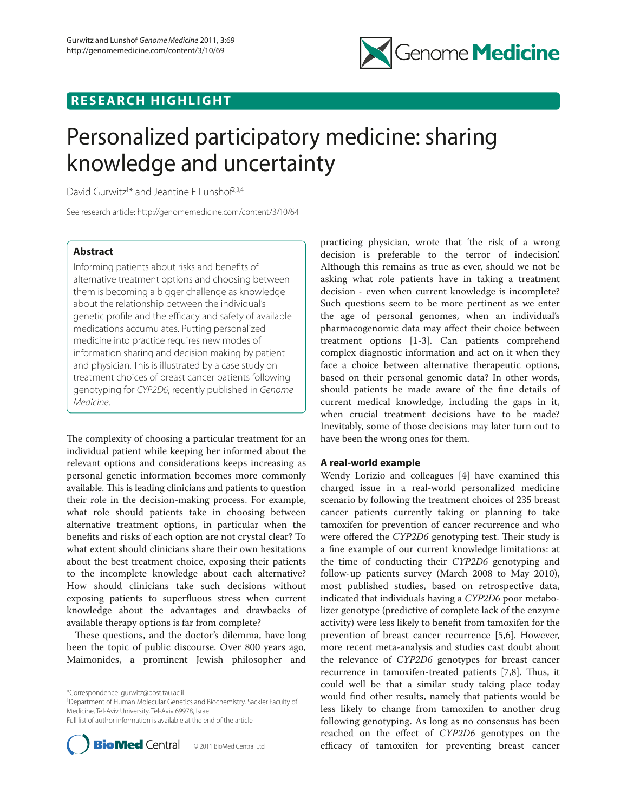

# **RESEARCH HIGHLIGHT**

# Personalized participatory medicine: sharing knowledge and uncertainty

David Gurwitz<sup>1\*</sup> and Jeantine E Lunshof<sup>2,3,4</sup>

See research article: http://genomemedicine.com/content/3/10/64

# **Abstract**

Informing patients about risks and benefits of alternative treatment options and choosing between them is becoming a bigger challenge as knowledge about the relationship between the individual's genetic profile and the efficacy and safety of available medications accumulates. Putting personalized medicine into practice requires new modes of information sharing and decision making by patient and physician. This is illustrated by a case study on treatment choices of breast cancer patients following genotyping for *CYP2D6*, recently published in *Genome Medicine*.

The complexity of choosing a particular treatment for an individual patient while keeping her informed about the relevant options and considerations keeps increasing as personal genetic information becomes more commonly available. This is leading clinicians and patients to question their role in the decision-making process. For example, what role should patients take in choosing between alternative treatment options, in particular when the benefits and risks of each option are not crystal clear? To what extent should clinicians share their own hesitations about the best treatment choice, exposing their patients to the incomplete knowledge about each alternative? How should clinicians take such decisions without exposing patients to superfluous stress when current knowledge about the advantages and drawbacks of available therapy options is far from complete?

These questions, and the doctor's dilemma, have long been the topic of public discourse. Over 800 years ago, Maimonides, a prominent Jewish philosopher and

\*Correspondence: gurwitz@post.tau.ac.il

1 Department of Human Molecular Genetics and Biochemistry, Sackler Faculty of Medicine, Tel-Aviv University, Tel-Aviv 69978, Israel Full list of author information is available at the end of the article



practicing physician, wrote that 'the risk of a wrong decision is preferable to the terror of indecision'. Although this remains as true as ever, should we not be asking what role patients have in taking a treatment decision - even when current knowledge is incomplete? Such questions seem to be more pertinent as we enter the age of personal genomes, when an individual's pharmacogenomic data may affect their choice between treatment options [1-3]. Can patients comprehend complex diagnostic information and act on it when they face a choice between alternative therapeutic options, based on their personal genomic data? In other words, should patients be made aware of the fine details of current medical knowledge, including the gaps in it, when crucial treatment decisions have to be made? Inevitably, some of those decisions may later turn out to have been the wrong ones for them.

# **A real-world example**

Wendy Lorizio and colleagues [4] have examined this charged issue in a real-world personalized medicine scenario by following the treatment choices of 235 breast cancer patients currently taking or planning to take tamoxifen for prevention of cancer recurrence and who were offered the *CYP2D6* genotyping test. Their study is a fine example of our current knowledge limitations: at the time of conducting their *CYP2D6* genotyping and follow-up patients survey (March 2008 to May 2010), most published studies, based on retrospective data, indicated that individuals having a *CYP2D6* poor metabolizer genotype (predictive of complete lack of the enzyme activity) were less likely to benefit from tamoxifen for the prevention of breast cancer recurrence [5,6]. However, more recent meta-analysis and studies cast doubt about the relevance of *CYP2D6* genotypes for breast cancer recurrence in tamoxifen-treated patients  $[7,8]$ . Thus, it could well be that a similar study taking place today would find other results, namely that patients would be less likely to change from tamoxifen to another drug following genotyping. As long as no consensus has been reached on the effect of *CYP2D6* genotypes on the efficacy of tamoxifen for preventing breast cancer